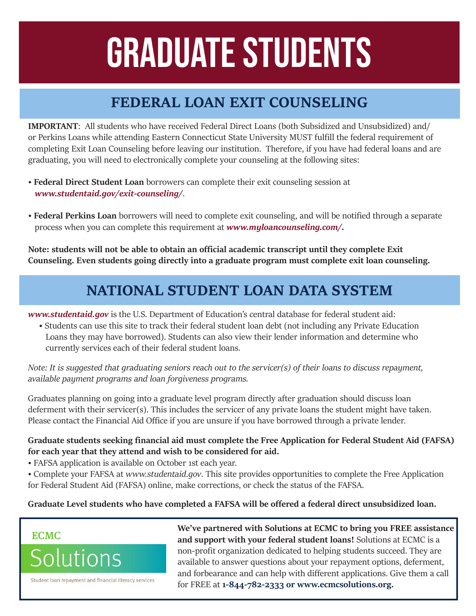# GRADUATE STUDENTS

## **FEDERAL LOAN EXIT COUNSELING**

**IMPORTANT**: All students who have received Federal Direct Loans (both Subsidized and Unsubsidized) and/ or Perkins Loans while attending Eastern Connecticut State University MUST fulfill the federal requirement of completing Exit Loan Counseling before leaving our institution. Therefore, if you have had federal loans and are graduating, you will need to electronically complete your counseling at the following sites:

- **Federal Direct Student Loan** borrowers can complete their exit counseling session at *www.studentaid.gov/exit-counseling/*.
- **Federal Perkins Loan** borrowers will need to complete exit counseling, and will be notified through a separate process when you can complete this requirement at *www.myloancounseling.com/.*

**Note: students will not be able to obtain an official academic transcript until they complete Exit Counseling. Even students going directly into a graduate program must complete exit loan counseling.**

### **NATIONAL STUDENT LOAN DATA SYSTEM**

*www.studentaid.gov* is the U.S. Department of Education's central database for federal student aid:

 • Students can use this site to track their federal student loan debt (not including any Private Education Loans they may have borrowed). Students can also view their lender information and determine who currently services each of their federal student loans.

*Note: It is suggested that graduating seniors reach out to the servicer(s) of their loans to discuss repayment, available payment programs and loan forgiveness programs.*

Graduates planning on going into a graduate level program directly after graduation should discuss loan deferment with their servicer(s). This includes the servicer of any private loans the student might have taken. Please contact the Financial Aid Office if you are unsure if you have borrowed through a private lender.

#### **Graduate students seeking financial aid must complete the Free Application for Federal Student Aid (FAFSA) for each year that they attend and wish to be considered for aid.**

- FAFSA application is available on October 1st each year.
- Complete your FAFSA at *www.studentaid.gov*. This site provides opportunities to complete the Free Application for Federal Student Aid (FAFSA) online, make corrections, or check the status of the FAFSA.

#### **Graduate Level students who have completed a FAFSA will be offered a federal direct unsubsidized loan.**

#### **ECMC**



Student loan repayment and financial literacy services

**We've partnered with Solutions at ECMC to bring you FREE assistance and support with your federal student loans!** Solutions at ECMC is a non-profit organization dedicated to helping students succeed. They are available to answer questions about your repayment options, deferment, and forbearance and can help with different applications. Give them a call for FREE at **1-844-782-2333 or www.ecmcsolutions.org.**